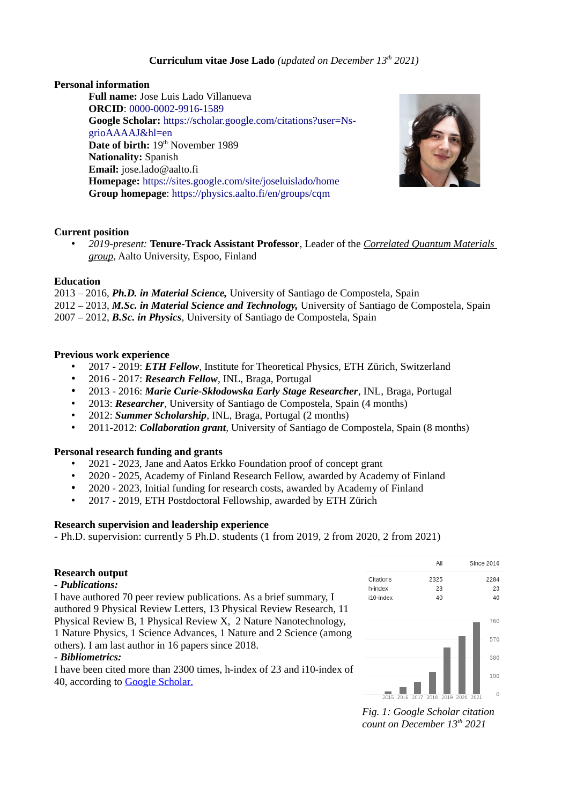# **Curriculum vitae Jose Lado** *(updated on December 13th 2021)*

# **Personal information**

**Full name:** Jose Luis Lado Villanueva **ORCID**: [0000-0002-9916-1589](http://orcid.org/0000-0002-9916-1589?lang=en) **Google Scholar:** [https://scholar.google.com/citations?user=Ns](https://scholar.google.com/citations?user=Ns-grioAAAAJ&hl=en)[grioAAAAJ&hl=en](https://scholar.google.com/citations?user=Ns-grioAAAAJ&hl=en) Date of birth: 19<sup>th</sup> November 1989 **Nationality:** Spanish **Email:** jose.lado@aalto.fi **Homepage:** <https://sites.google.com/site/joseluislado/home> **Group homepage**:<https://physics.aalto.fi/en/groups/cqm>



## **Current position**

• *2019-present:* **Tenure-Track Assistant Professor**, Leader of the *[Correlated Quantum Materials](https://physics.aalto.fi/en/groups/cqm)  [group](https://physics.aalto.fi/en/groups/cqm)*, Aalto University, Espoo, Finland

### **Education**

2013 – 2016, *Ph.D. in Material Science,* University of Santiago de Compostela, Spain 2012 – 2013, *M.Sc. in Material Science and Technology,* University of Santiago de Compostela, Spain 2007 – 2012, *B.Sc. in Physics*, University of Santiago de Compostela, Spain

## **Previous work experience**

- 2017 2019: *ETH Fellow*, Institute for Theoretical Physics, ETH Zürich, Switzerland
- 2016 2017: *Research Fellow*, INL, Braga, Portugal
- 2013 2016: *Marie Curie-Skłodowska Early Stage Researcher*, INL, Braga, Portugal
- 2013: *Researcher*, University of Santiago de Compostela, Spain (4 months)
- 2012: *Summer Scholarship*, INL, Braga, Portugal (2 months)
- 2011-2012: *Collaboration grant*, University of Santiago de Compostela, Spain (8 months)

### **Personal research funding and grants**

- 2021 2023, Jane and Aatos Erkko Foundation proof of concept grant
- 2020 2025, Academy of Finland Research Fellow, awarded by Academy of Finland
- 2020 2023, Initial funding for research costs, awarded by Academy of Finland
- 2017 2019, ETH Postdoctoral Fellowship, awarded by ETH Zürich

### **Research supervision and leadership experience**

- Ph.D. supervision: currently 5 Ph.D. students (1 from 2019, 2 from 2020, 2 from 2021)

### **Research output**

### *- Publications:*

I have authored 70 peer review publications. As a brief summary, I authored 9 Physical Review Letters, 13 Physical Review Research, 11 Physical Review B, 1 Physical Review X, 2 Nature Nanotechnology, 1 Nature Physics, 1 Science Advances, 1 Nature and 2 Science (among others). I am last author in 16 papers since 2018.

### *- Bibliometrics:*

I have been cited more than 2300 times, h-index of 23 and i10-index of 40, according to [Google Scholar](https://scholar.google.pt/citations?user=Ns-grioAAAAJ&hl=en).



*Fig. 1: Google Scholar citation count on December 13th 2021*